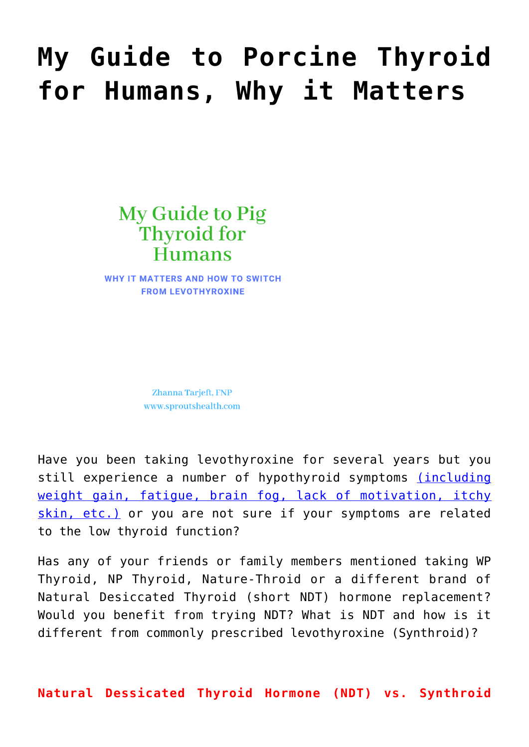# **[My Guide to Porcine Thyroid](https://sproutshealth.com/my-guide-to-porcine-thyroid-for-humans-why-it-matters/) [for Humans, Why it Matters](https://sproutshealth.com/my-guide-to-porcine-thyroid-for-humans-why-it-matters/)**

# My Guide to Pig Thyroid for **Humans**

**WHY IT MATTERS AND HOW TO SWITCH FROM LEVOTHYROXINE** 

> Zhanna Tarjeft, FNP www.sproutshealth.com

Have you been taking levothyroxine for several years but you still experience a number of hypothyroid symptoms *[\(including](https://sproutshealth.com/hypothyroid-symptoms/)* [weight gain, fatigue, brain fog, lack of motivation, itchy](https://sproutshealth.com/hypothyroid-symptoms/) [skin, etc.\)](https://sproutshealth.com/hypothyroid-symptoms/) or you are not sure if your symptoms are related to the low thyroid function?

Has any of your friends or family members mentioned taking WP Thyroid, NP Thyroid, Nature-Throid or a different brand of Natural Desiccated Thyroid (short NDT) hormone replacement? Would you benefit from trying NDT? What is NDT and how is it different from commonly prescribed levothyroxine (Synthroid)?

**Natural Dessicated Thyroid Hormone (NDT) vs. Synthroid**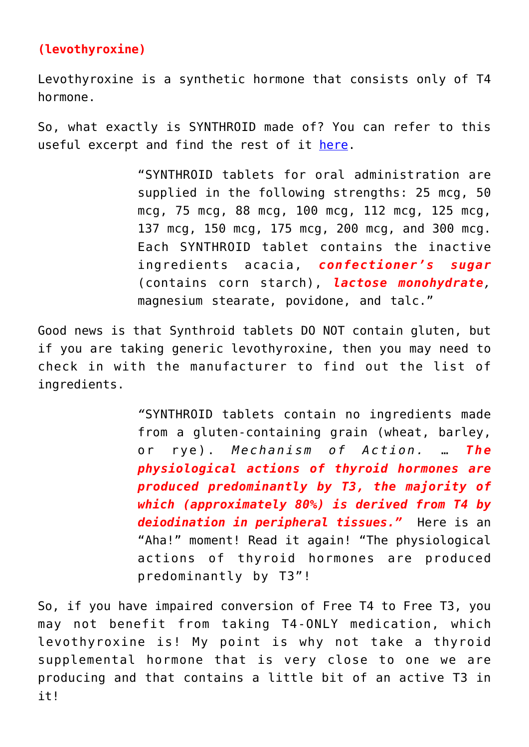## **(levothyroxine)**

Levothyroxine is a synthetic hormone that consists only of T4 hormone.

So, what exactly is SYNTHROID made of? You can refer to this useful excerpt and find the rest of it [here.](https://www.rxabbvie.com/pdf/synthroid.pdf)

> "SYNTHROID tablets for oral administration are supplied in the following strengths: 25 mcg, 50 mcg, 75 mcg, 88 mcg, 100 mcg, 112 mcg, 125 mcg, 137 mcg, 150 mcg, 175 mcg, 200 mcg, and 300 mcg. Each SYNTHROID tablet contains the inactive ingredients acacia, *confectioner's sugar* (contains corn starch), *lactose monohydrate,* magnesium stearate, povidone, and talc."

Good news is that Synthroid tablets DO NOT contain gluten, but if you are taking generic levothyroxine, then you may need to check in with the manufacturer to find out the list of ingredients.

> *"*SYNTHROID tablets contain no ingredients made from a gluten-containing grain (wheat, barley, or rye). *Mechanism of Action.* … *The physiological actions of thyroid hormones are produced predominantly by T3, the majority of which (approximately 80%) is derived from T4 by deiodination in peripheral tissues."* Here is an "Aha!" moment! Read it again! "The physiological actions of thyroid hormones are produced predominantly by T3"!

So, if you have impaired conversion of Free T4 to Free T3, you may not benefit from taking T4-ONLY medication, which levothyroxine is! My point is why not take a thyroid supplemental hormone that is very close to one we are producing and that contains a little bit of an active T3 in it!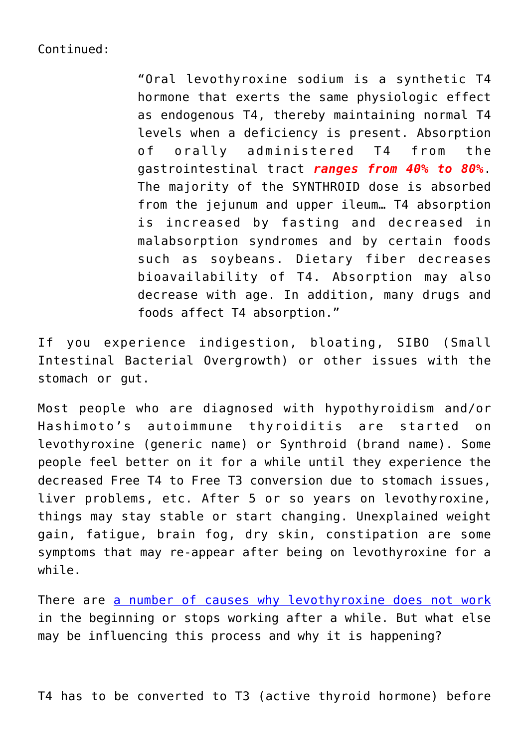#### Continued:

"Oral levothyroxine sodium is a synthetic T4 hormone that exerts the same physiologic effect as endogenous T4, thereby maintaining normal T4 levels when a deficiency is present. Absorption of orally administered T4 from the gastrointestinal tract *ranges from 40% to 80%*. The majority of the SYNTHROID dose is absorbed from the jejunum and upper ileum… T4 absorption is increased by fasting and decreased in malabsorption syndromes and by certain foods such as soybeans. Dietary fiber decreases bioavailability of T4. Absorption may also decrease with age. In addition, many drugs and foods affect T4 absorption."

If you experience indigestion, bloating, SIBO (Small Intestinal Bacterial Overgrowth) or other issues with the stomach or gut.

Most people who are diagnosed with hypothyroidism and/or Hashimoto's autoimmune thyroiditis are started on levothyroxine (generic name) or Synthroid (brand name). Some people feel better on it for a while until they experience the decreased Free T4 to Free T3 conversion due to stomach issues, liver problems, etc. After 5 or so years on levothyroxine, things may stay stable or start changing. Unexplained weight gain, fatigue, brain fog, dry skin, constipation are some symptoms that may re-appear after being on levothyroxine for a while.

There are [a number of causes why levothyroxine does not work](https://sproutshealth.com/why-levothyroxine-does-not-work/) in the beginning or stops working after a while. But what else may be influencing this process and why it is happening?

T4 has to be converted to T3 (active thyroid hormone) before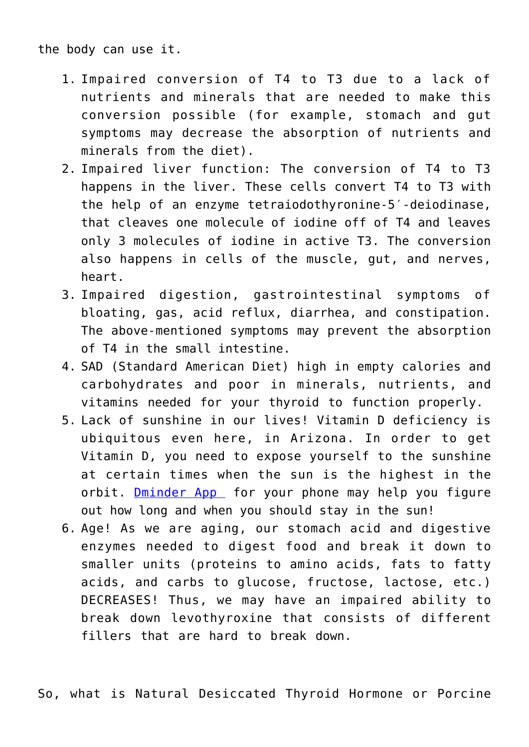the body can use it.

- 1. Impaired conversion of T4 to T3 due to a lack of nutrients and minerals that are needed to make this conversion possible (for example, stomach and gut symptoms may decrease the absorption of nutrients and minerals from the diet).
- 2. Impaired liver function: The conversion of T4 to T3 happens in the liver. These cells convert T4 to T3 with the help of an enzyme tetraiodothyronine-5′-deiodinase, that cleaves one molecule of iodine off of T4 and leaves only 3 molecules of iodine in active T3. The conversion also happens in cells of the muscle, gut, and nerves, heart.
- 3. Impaired digestion, gastrointestinal symptoms of bloating, gas, acid reflux, diarrhea, and constipation. The above-mentioned symptoms may prevent the absorption of T4 in the small intestine.
- 4. SAD (Standard American Diet) high in empty calories and carbohydrates and poor in minerals, nutrients, and vitamins needed for your thyroid to function properly.
- 5. Lack of sunshine in our lives! Vitamin D deficiency is ubiquitous even here, in Arizona. In order to get Vitamin D, you need to expose yourself to the sunshine at certain times when the sun is the highest in the orbit. **Dminder App** for your phone may help you figure out how long and when you should stay in the sun!
- 6. Age! As we are aging, our stomach acid and digestive enzymes needed to digest food and break it down to smaller units (proteins to amino acids, fats to fatty acids, and carbs to glucose, fructose, lactose, etc.) DECREASES! Thus, we may have an impaired ability to break down levothyroxine that consists of different fillers that are hard to break down.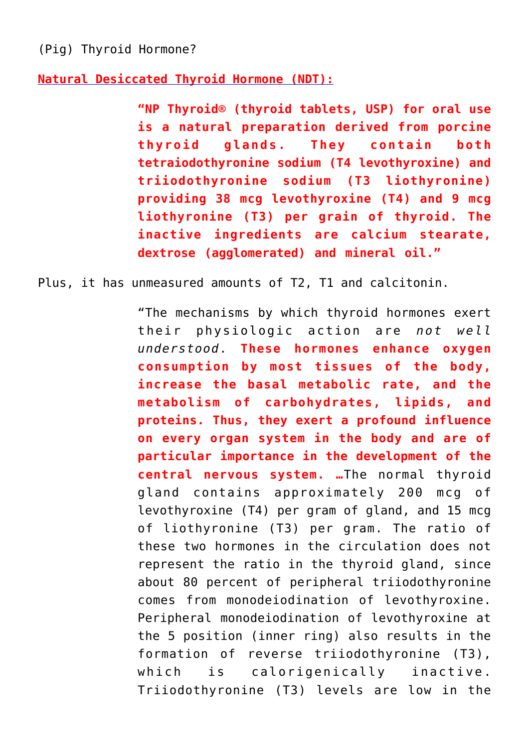(Pig) Thyroid Hormone?

**[Natural Desiccated Thyroid Hormone \(NDT\):](https://www.rxlist.com/np-thyroid-drug.htm#dosage)**

**"NP Thyroid® (thyroid tablets, USP) for oral use is a natural preparation derived from porcine thyroid glands. They contain both tetraiodothyronine sodium (T4 levothyroxine) and triiodothyronine sodium (T3 liothyronine) providing 38 mcg levothyroxine (T4) and 9 mcg liothyronine (T3) per grain of thyroid. The inactive ingredients are calcium stearate, dextrose (agglomerated) and mineral oil."**

Plus, it has unmeasured amounts of T2, T1 and calcitonin.

"The mechanisms by which thyroid hormones exert their physiologic action are *not well understood*. **These hormones enhance oxygen consumption by most tissues of the body, increase the basal metabolic rate, and the metabolism of carbohydrates, lipids, and proteins. Thus, they exert a profound influence on every organ system in the body and are of particular importance in the development of the central nervous system. …**The normal thyroid gland contains approximately 200 mcg of levothyroxine (T4) per gram of gland, and 15 mcg of liothyronine (T3) per gram. The ratio of these two hormones in the circulation does not represent the ratio in the thyroid gland, since about 80 percent of peripheral triiodothyronine comes from monodeiodination of levothyroxine. Peripheral monodeiodination of levothyroxine at the 5 position (inner ring) also results in the formation of reverse triiodothyronine (T3), which is calorigenically inactive. Triiodothyronine (T3) levels are low in the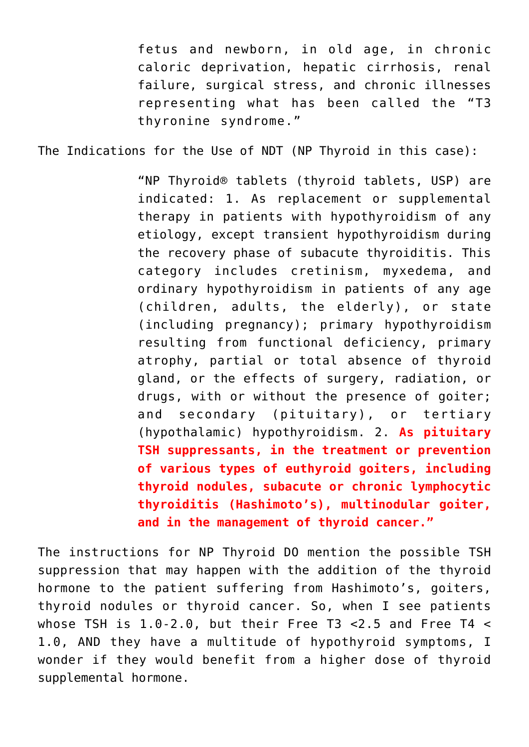fetus and newborn, in old age, in chronic caloric deprivation, hepatic cirrhosis, renal failure, surgical stress, and chronic illnesses representing what has been called the "T3 thyronine syndrome."

The Indications for the Use of NDT (NP Thyroid in this case):

"NP Thyroid® tablets (thyroid tablets, USP) are indicated: 1. As replacement or supplemental therapy in patients with hypothyroidism of any etiology, except transient hypothyroidism during the recovery phase of subacute thyroiditis. This category includes cretinism, myxedema, and ordinary hypothyroidism in patients of any age (children, adults, the elderly), or state (including pregnancy); primary hypothyroidism resulting from functional deficiency, primary atrophy, partial or total absence of thyroid gland, or the effects of surgery, radiation, or drugs, with or without the presence of goiter; and secondary (pituitary), or tertiary (hypothalamic) hypothyroidism. 2. **As pituitary TSH suppressants, in the treatment or prevention of various types of euthyroid goiters, including thyroid nodules, subacute or chronic lymphocytic thyroiditis (Hashimoto's), multinodular goiter, and in the management of thyroid cancer."**

The instructions for NP Thyroid DO mention the possible TSH suppression that may happen with the addition of the thyroid hormone to the patient suffering from Hashimoto's, goiters, thyroid nodules or thyroid cancer. So, when I see patients whose TSH is  $1.0-2.0$ , but their Free T3 < 2.5 and Free T4 < 1.0, AND they have a multitude of hypothyroid symptoms, I wonder if they would benefit from a higher dose of thyroid supplemental hormone.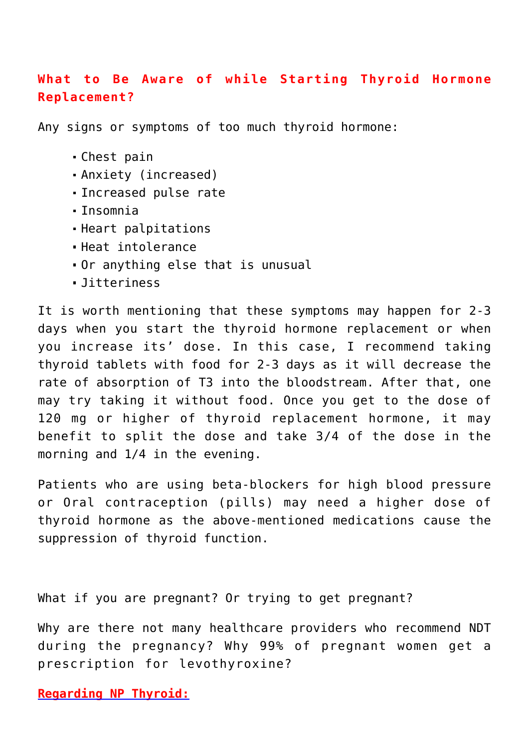### **What to Be Aware of while Starting Thyroid Hormone Replacement?**

Any signs or symptoms of too much thyroid hormone:

- Chest pain
- Anxiety (increased)
- Increased pulse rate
- Insomnia
- Heart palpitations
- Heat intolerance
- Or anything else that is unusual
- Jitteriness

It is worth mentioning that these symptoms may happen for 2-3 days when you start the thyroid hormone replacement or when you increase its' dose. In this case, I recommend taking thyroid tablets with food for 2-3 days as it will decrease the rate of absorption of T3 into the bloodstream. After that, one may try taking it without food. Once you get to the dose of 120 mg or higher of thyroid replacement hormone, it may benefit to split the dose and take 3/4 of the dose in the morning and 1/4 in the evening.

Patients who are using beta-blockers for high blood pressure or Oral contraception (pills) may need a higher dose of thyroid hormone as the above-mentioned medications cause the suppression of thyroid function.

What if you are pregnant? Or trying to get pregnant?

Why are there not many healthcare providers who recommend NDT during the pregnancy? Why 99% of pregnant women get a prescription for levothyroxine?

**[Regarding NP Thyroid:](https://www.rxlist.com/np-thyroid-drug.htm#dosage)**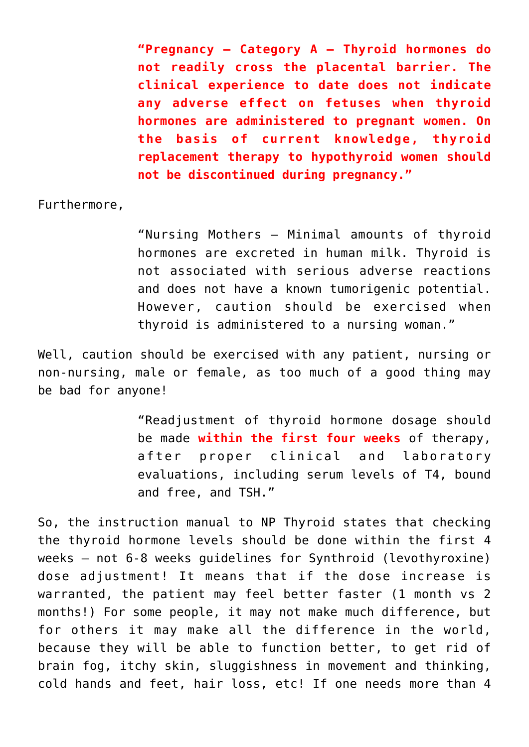**"Pregnancy — Category A — Thyroid hormones do not readily cross the placental barrier. The clinical experience to date does not indicate any adverse effect on fetuses when thyroid hormones are administered to pregnant women. On the basis of current knowledge, thyroid replacement therapy to hypothyroid women should not be discontinued during pregnancy."**

Furthermore,

"Nursing Mothers — Minimal amounts of thyroid hormones are excreted in human milk. Thyroid is not associated with serious adverse reactions and does not have a known tumorigenic potential. However, caution should be exercised when thyroid is administered to a nursing woman."

Well, caution should be exercised with any patient, nursing or non-nursing, male or female, as too much of a good thing may be bad for anyone!

> "Readjustment of thyroid hormone dosage should be made **within the first four weeks** of therapy, after proper clinical and laboratory evaluations, including serum levels of T4, bound and free, and TSH."

So, the instruction manual to NP Thyroid states that checking the thyroid hormone levels should be done within the first 4 weeks – not 6-8 weeks guidelines for Synthroid (levothyroxine) dose adjustment! It means that if the dose increase is warranted, the patient may feel better faster (1 month vs 2 months!) For some people, it may not make much difference, but for others it may make all the difference in the world, because they will be able to function better, to get rid of brain fog, itchy skin, sluggishness in movement and thinking, cold hands and feet, hair loss, etc! If one needs more than 4